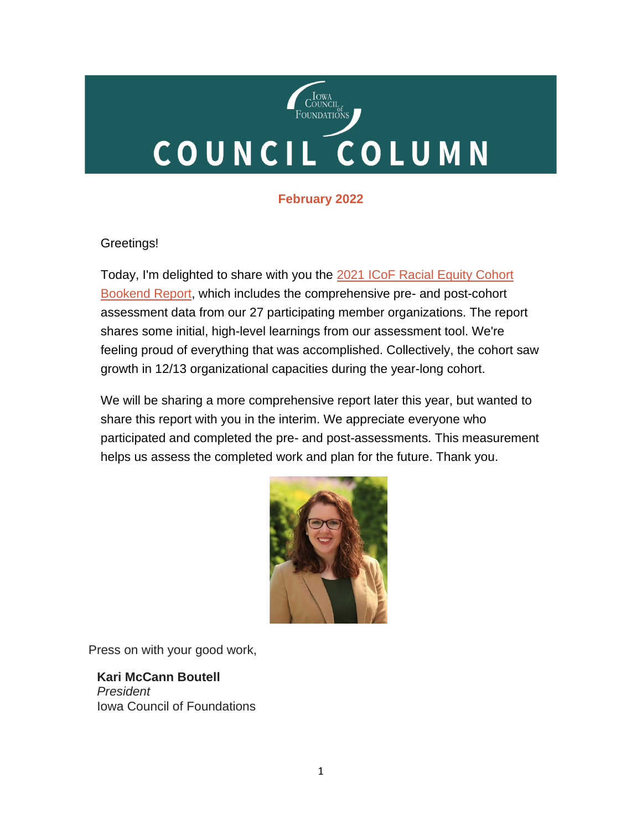# COUNCIL<br>FOUNDATIONS COUNCIL COLUMN

#### **February 2022**

#### Greetings!

Today, I'm delighted to share with you the 2021 ICoF Racial Equity Cohort [Bookend Report,](https://iowacounciloffoundations.org/wp-content/uploads/2022/02/ICoF-Racial-Equity-Cohort-Bookend-Report-2022.pdf) which includes the comprehensive pre- and post-cohort assessment data from our 27 participating member organizations. The report shares some initial, high-level learnings from our assessment tool. We're feeling proud of everything that was accomplished. Collectively, the cohort saw growth in 12/13 organizational capacities during the year-long cohort.

We will be sharing a more comprehensive report later this year, but wanted to share this report with you in the interim. We appreciate everyone who participated and completed the pre- and post-assessments. This measurement helps us assess the completed work and plan for the future. Thank you.



Press on with your good work,

 **Kari McCann Boutell** *President* Iowa Council of Foundations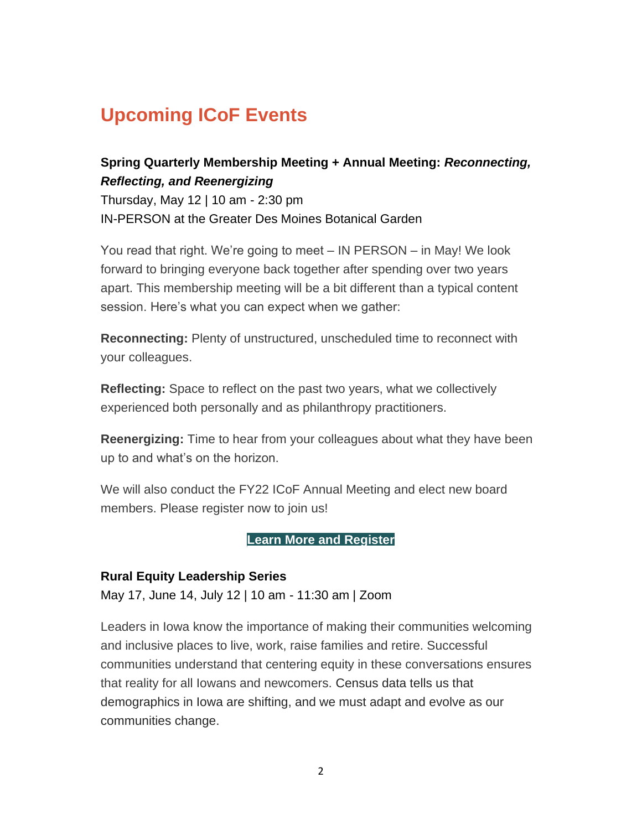# **Upcoming ICoF Events**

#### **Spring Quarterly Membership Meeting + Annual Meeting:** *Reconnecting, Reflecting, and Reenergizing*

Thursday, May 12 | 10 am - 2:30 pm IN-PERSON at the Greater Des Moines Botanical Garden

You read that right. We're going to meet – IN PERSON – in May! We look forward to bringing everyone back together after spending over two years apart. This membership meeting will be a bit different than a typical content session. Here's what you can expect when we gather:

**Reconnecting:** Plenty of unstructured, unscheduled time to reconnect with your colleagues.

**Reflecting:** Space to reflect on the past two years, what we collectively experienced both personally and as philanthropy practitioners.

**Reenergizing:** Time to hear from your colleagues about what they have been up to and what's on the horizon.

We will also conduct the FY22 ICoF Annual Meeting and elect new board members. Please register now to join us!

#### **[Learn More and Register](https://icof.wildapricot.org/event-4693038)**

#### **Rural Equity Leadership Series**

May 17, June 14, July 12 | 10 am - 11:30 am | Zoom

Leaders in Iowa know the importance of making their communities welcoming and inclusive places to live, work, raise families and retire. Successful communities understand that centering equity in these conversations ensures that reality for all Iowans and newcomers. Census data tells us that demographics in Iowa are shifting, and we must adapt and evolve as our communities change.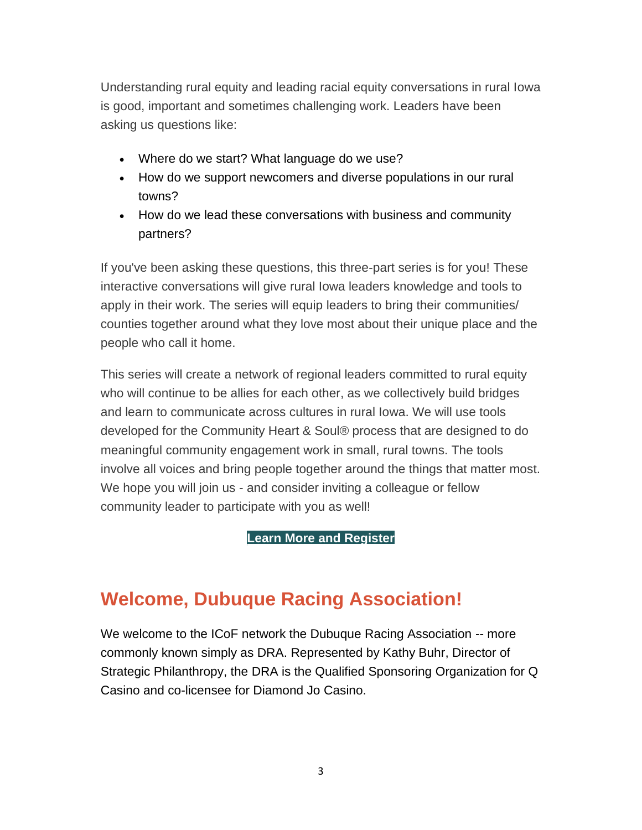Understanding rural equity and leading racial equity conversations in rural Iowa is good, important and sometimes challenging work. Leaders have been asking us questions like:

- Where do we start? What language do we use?
- How do we support newcomers and diverse populations in our rural towns?
- How do we lead these conversations with business and community partners?

If you've been asking these questions, this three-part series is for you! These interactive conversations will give rural Iowa leaders knowledge and tools to apply in their work. The series will equip leaders to bring their communities/ counties together around what they love most about their unique place and the people who call it home.

This series will create a network of regional leaders committed to rural equity who will continue to be allies for each other, as we collectively build bridges and learn to communicate across cultures in rural Iowa. We will use tools developed for the Community Heart & Soul® process that are designed to do meaningful community engagement work in small, rural towns. The tools involve all voices and bring people together around the things that matter most. We hope you will join us - and consider inviting a colleague or fellow community leader to participate with you as well!

**[Learn More and Register](https://icof.wildapricot.org/event-4669692)**

### **Welcome, Dubuque Racing Association!**

We welcome to the ICoF network the Dubuque Racing Association -- more commonly known simply as DRA. Represented by Kathy Buhr, Director of Strategic Philanthropy, the DRA is the Qualified Sponsoring Organization for Q Casino and co-licensee for Diamond Jo Casino.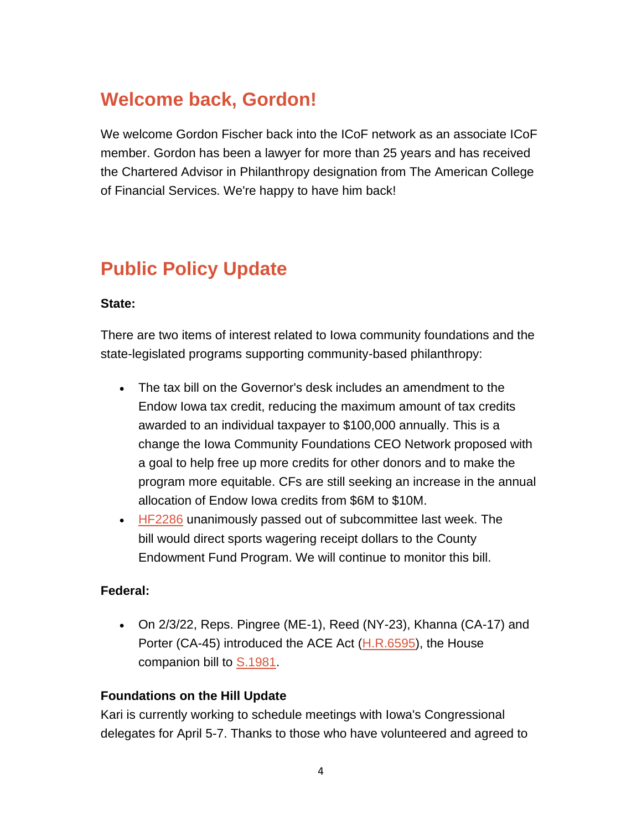# **Welcome back, Gordon!**

We welcome Gordon Fischer back into the ICoF network as an associate ICoF member. Gordon has been a lawyer for more than 25 years and has received the Chartered Advisor in Philanthropy designation from The American College of Financial Services. We're happy to have him back!

# **Public Policy Update**

#### **State:**

There are two items of interest related to Iowa community foundations and the state-legislated programs supporting community-based philanthropy:

- The tax bill on the Governor's desk includes an amendment to the Endow Iowa tax credit, reducing the maximum amount of tax credits awarded to an individual taxpayer to \$100,000 annually. This is a change the Iowa Community Foundations CEO Network proposed with a goal to help free up more credits for other donors and to make the program more equitable. CFs are still seeking an increase in the annual allocation of Endow Iowa credits from \$6M to \$10M.
- [HF2286](https://www.legis.iowa.gov/legislation/BillBook?ga=89&ba=HF2286) unanimously passed out of subcommittee last week. The bill would direct sports wagering receipt dollars to the County Endowment Fund Program. We will continue to monitor this bill.

#### **Federal:**

• On 2/3/22, Reps. Pingree (ME-1), Reed (NY-23), Khanna (CA-17) and Porter (CA-45) introduced the ACE Act [\(H.R.6595\)](https://www.congress.gov/bill/117th-congress/house-bill/6595), the House companion bill to **S.1981**.

#### **Foundations on the Hill Update**

Kari is currently working to schedule meetings with Iowa's Congressional delegates for April 5-7. Thanks to those who have volunteered and agreed to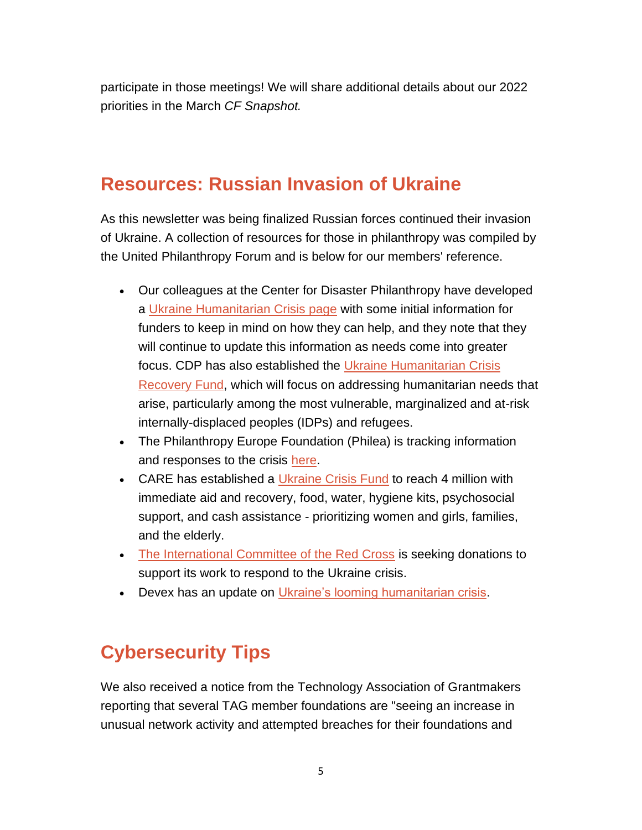participate in those meetings! We will share additional details about our 2022 priorities in the March *CF Snapshot.*

### **Resources: Russian Invasion of Ukraine**

As this newsletter was being finalized Russian forces continued their invasion of Ukraine. A collection of resources for those in philanthropy was compiled by the United Philanthropy Forum and is below for our members' reference.

- Our colleagues at the Center for Disaster Philanthropy have developed a [Ukraine Humanitarian Crisis page](https://disasterphilanthropy.org/disaster/ukraine-humanitarian-crisis/) with some initial information for funders to keep in mind on how they can help, and they note that they will continue to update this information as needs come into greater focus. CDP has also established the [Ukraine Humanitarian Crisis](https://disasterphilanthropy.org/cdp-fund/cdp-ukraine-humanitarian-crisis-recovery-fund/)  [Recovery Fund,](https://disasterphilanthropy.org/cdp-fund/cdp-ukraine-humanitarian-crisis-recovery-fund/) which will focus on addressing humanitarian needs that arise, particularly among the most vulnerable, marginalized and at-risk internally-displaced peoples (IDPs) and refugees.
- The Philanthropy Europe Foundation (Philea) is tracking information and responses to the crisis [here.](https://philea.eu/philea-stands-in-solidarity-with-ukraine/)
- CARE has established a [Ukraine Crisis Fund](https://my.care.org/site/Donation2?df_id=31067&mfc_pref=T&31067.donation=form1&s_src=172223UCF000&_ga=2.173622052.686273882.1645739274-1078743069.1645739274) to reach 4 million with immediate aid and recovery, food, water, hygiene kits, psychosocial support, and cash assistance - prioritizing women and girls, families, and the elderly.
- [The International Committee of the Red Cross](https://www.icrc.org/en/where-we-work/europe-central-asia/ukraine) is seeking donations to support its work to respond to the Ukraine crisis.
- Devex has an update on *Ukraine's looming humanitarian crisis*.

### **Cybersecurity Tips**

We also received a notice from the Technology Association of Grantmakers reporting that several TAG member foundations are "seeing an increase in unusual network activity and attempted breaches for their foundations and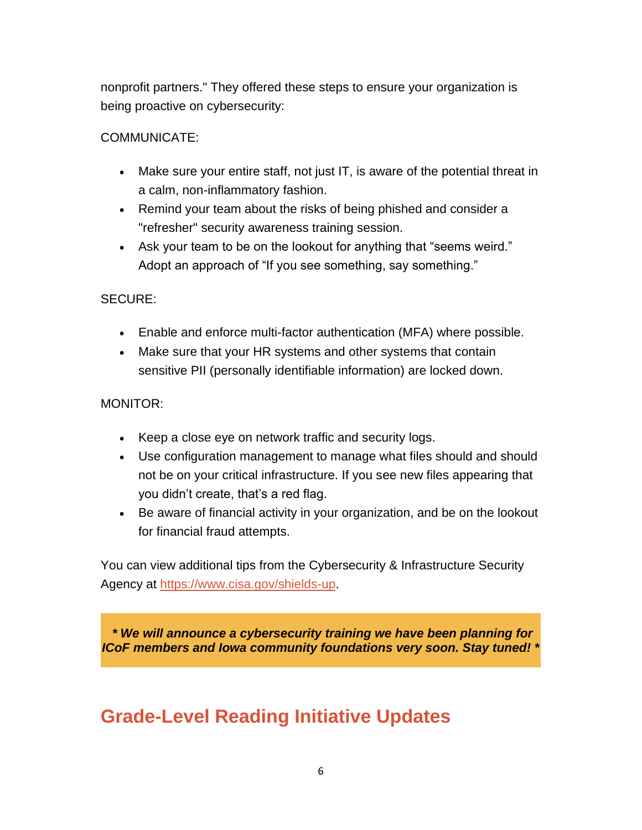nonprofit partners." They offered these steps to ensure your organization is being proactive on cybersecurity:

#### COMMUNICATE:

- Make sure your entire staff, not just IT, is aware of the potential threat in a calm, non-inflammatory fashion.
- Remind your team about the risks of being phished and consider a "refresher" security awareness training session.
- Ask your team to be on the lookout for anything that "seems weird." Adopt an approach of "If you see something, say something."

#### SECURE:

- Enable and enforce multi-factor authentication (MFA) where possible.
- Make sure that your HR systems and other systems that contain sensitive PII (personally identifiable information) are locked down.

#### MONITOR:

- Keep a close eye on network traffic and security logs.
- Use configuration management to manage what files should and should not be on your critical infrastructure. If you see new files appearing that you didn't create, that's a red flag.
- Be aware of financial activity in your organization, and be on the lookout for financial fraud attempts.

You can view additional tips from the Cybersecurity & Infrastructure Security Agency at [https://www.cisa.gov/shields-up.](https://www.cisa.gov/shields-up)

*\* We will announce a cybersecurity training we have been planning for ICoF members and Iowa community foundations very soon. Stay tuned! \**

### **Grade-Level Reading Initiative Updates**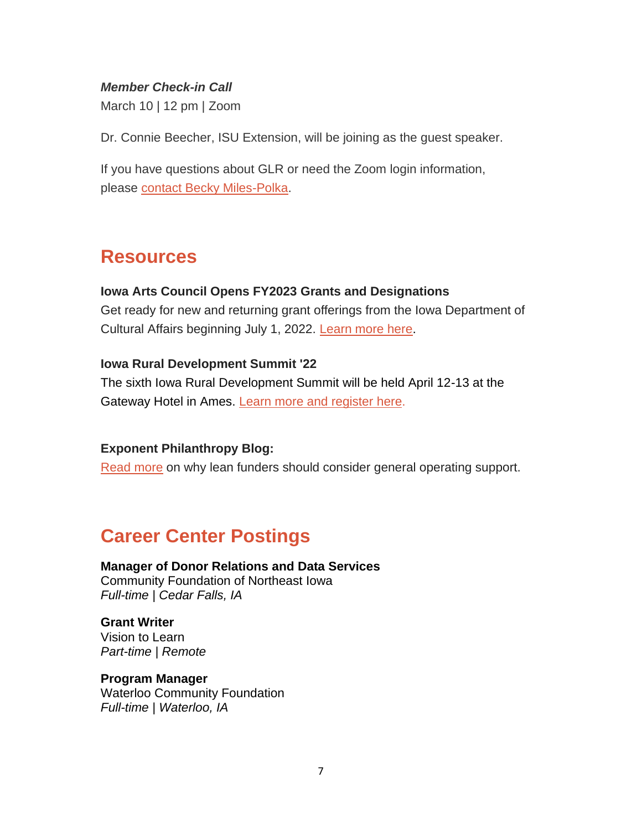#### *Member Check-in Call*

March 10 | 12 pm | Zoom

Dr. Connie Beecher, ISU Extension, will be joining as the guest speaker.

If you have questions about GLR or need the Zoom login information, please [contact Becky Miles-Polka.](mailto:bmilespolka@gradelevelreading.net)

### **Resources**

#### **Iowa Arts Council Opens FY2023 Grants and Designations**

Get ready for new and returning grant offerings from the Iowa Department of Cultural Affairs beginning July 1, 2022. [Learn more here](https://www.iowaculture.gov/about-us/about/grants).

#### **Iowa Rural Development Summit '22**

The sixth Iowa Rural Development Summit will be held April 12-13 at the Gateway Hotel in Ames. [Learn more and register here.](https://iowardc.org/summit/)

#### **Exponent Philanthropy Blog:**

[Read more](https://www.exponentphilanthropy.org/blog/more-lean-funders-should-consider-general-operating-support/) on why lean funders should consider general operating support.

### **Career Center Postings**

**Manager of Donor Relations and Data Services** Community Foundation of Northeast Iowa *Full-time | Cedar Falls, IA*

#### **Grant Writer**

Vision to Learn *Part-time | Remote*

#### **Program Manager**

Waterloo Community Foundation *Full-time | Waterloo, IA*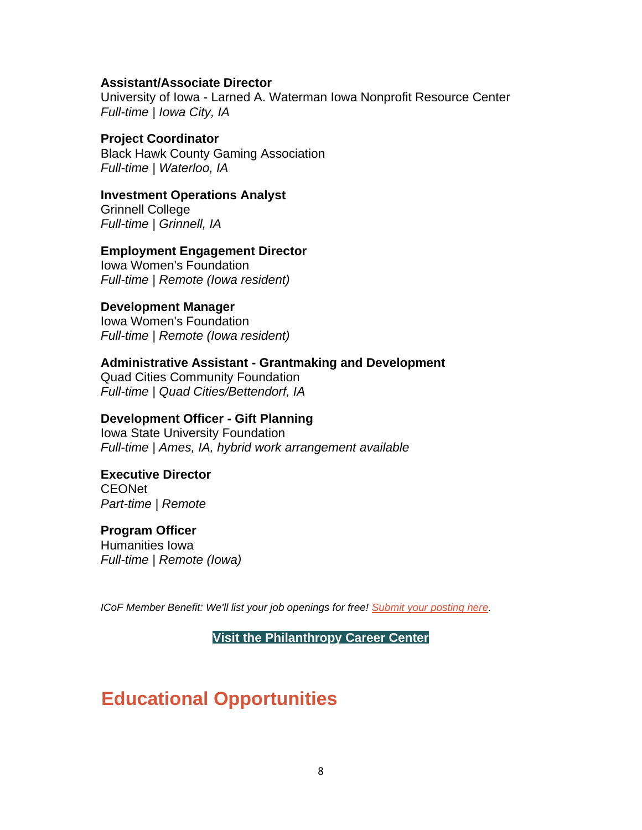#### **Assistant/Associate Director**

University of Iowa - Larned A. Waterman Iowa Nonprofit Resource Center *Full-time | Iowa City, IA*

#### **Project Coordinator**

Black Hawk County Gaming Association *Full-time | Waterloo, IA*

#### **Investment Operations Analyst**

Grinnell College *Full-time | Grinnell, IA*

#### **Employment Engagement Director**

Iowa Women's Foundation *Full-time | Remote (Iowa resident)*

#### **Development Manager**

Iowa Women's Foundation *Full-time | Remote (Iowa resident)*

#### **Administrative Assistant - Grantmaking and Development**

Quad Cities Community Foundation *Full-time | Quad Cities/Bettendorf, IA*

#### **Development Officer - Gift Planning**

Iowa State University Foundation *Full-time | Ames, IA, hybrid work arrangement available*

#### **Executive Director**

**CEONet** *Part-time | Remote*

#### **Program Officer**

Humanities Iowa *Full-time | Remote (Iowa)*

*ICoF Member Benefit: We'll list your job openings for free! [Submit your posting here.](https://iowacounciloffoundations.org/submit-job/)*

**[Visit the Philanthropy Career Center](http://iowacounciloffoundations.org/career-center/)**

### **Educational Opportunities**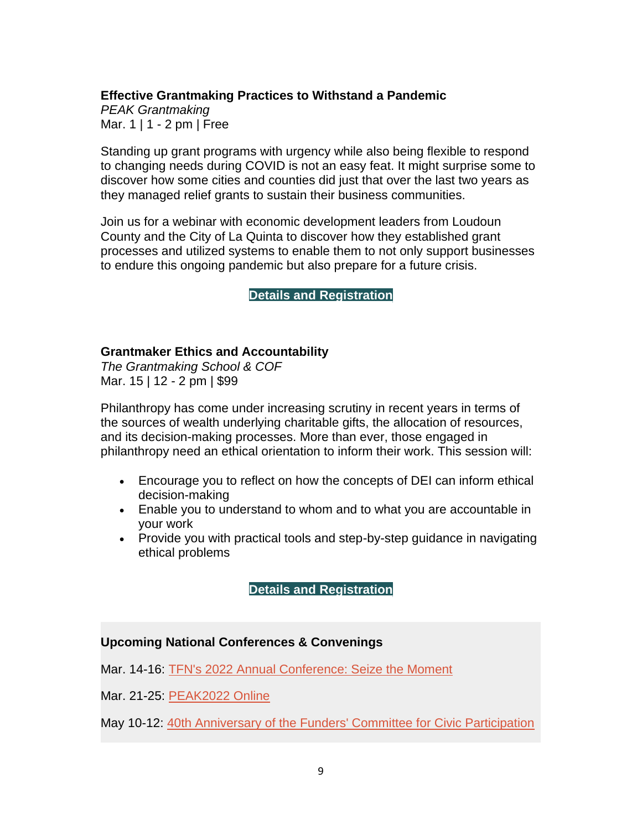#### **Effective Grantmaking Practices to Withstand a Pandemic**

*PEAK Grantmaking* Mar. 1 | 1 - 2 pm | Free

Standing up grant programs with urgency while also being flexible to respond to changing needs during COVID is not an easy feat. It might surprise some to discover how some cities and counties did just that over the last two years as they managed relief grants to sustain their business communities.

Join us for a webinar with economic development leaders from Loudoun County and the City of La Quinta to discover how they established grant processes and utilized systems to enable them to not only support businesses to endure this ongoing pandemic but also prepare for a future crisis.

#### **[Details and Registration](https://www.peakgrantmaking.org/event/effective-grantmaking-practices-to-withstand-a-pandemic/)**

#### **Grantmaker Ethics and Accountability**

*The Grantmaking School & COF* Mar. 15 | 12 - 2 pm | \$99

Philanthropy has come under increasing scrutiny in recent years in terms of the sources of wealth underlying charitable gifts, the allocation of resources, and its decision-making processes. More than ever, those engaged in philanthropy need an ethical orientation to inform their work. This session will:

- Encourage you to reflect on how the concepts of DEI can inform ethical decision-making
- Enable you to understand to whom and to what you are accountable in your work
- Provide you with practical tools and step-by-step guidance in navigating ethical problems

**[Details and Registration](https://www.cof.org/event/grantmaker-ethics-and-accountability)**

#### **Upcoming National Conferences & Convenings**

Mar. 14-16: [TFN's 2022 Annual Conference: Seize the Moment](https://www.fundersnetwork.org/event/tfn-2022-annual-conference/)

Mar. 21-25: [PEAK2022 Online](https://www.peakgrantmaking.org/events/peak2022-online/)

May 10-12: [40th Anniversary of the Funders' Committee for Civic Participation](https://funderscommittee.org/40thanniversaryconvening/)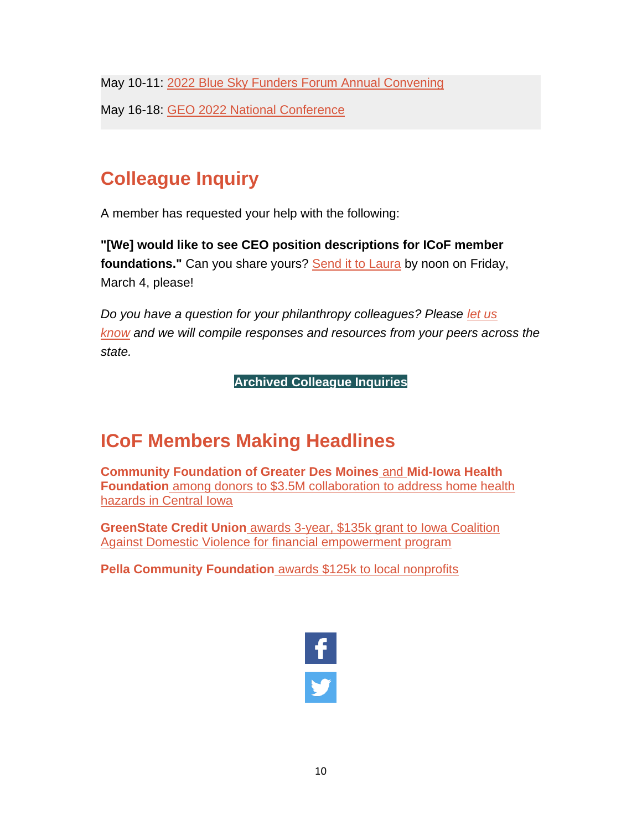May 10-11: [2022 Blue Sky Funders Forum Annual Convening](https://blueskyfundersforum.org/connect/events/2022-annual-convening)

May 16-18: [GEO 2022 National Conference](https://www.geofunders.org/events/131)

# **Colleague Inquiry**

A member has requested your help with the following:

**"[We] would like to see CEO position descriptions for ICoF member foundations."** Can you share yours? [Send it to Laura](mailto:lberardi@iowacounciloffoundations.org) by noon on Friday, March 4, please!

*Do you have a question for your philanthropy colleagues? Please [let us](mailto:info@iowacounciloffoundations.org?subject=Colleague%20Inquiry%20Request)  [know](mailto:info@iowacounciloffoundations.org?subject=Colleague%20Inquiry%20Request) and we will compile responses and resources from your peers across the state.*

**[Archived Colleague Inquiries](http://iowacounciloffoundations.org/administration/)**

# **ICoF Members Making Headlines**

**[Community Foundation of Greater Des Moines](https://businessrecord.com/Content/Default/All-Latest-News/Article/EveryStep-announces-3-5M-collaboration-to-address-home-health-hazards-in-Central-Iowa/-3/248/96549)** and **Mid-Iowa Health Foundation** [among donors to \\$3.5M collaboration to address home health](https://businessrecord.com/Content/Default/All-Latest-News/Article/EveryStep-announces-3-5M-collaboration-to-address-home-health-hazards-in-Central-Iowa/-3/248/96549)  [hazards in Central Iowa](https://businessrecord.com/Content/Default/All-Latest-News/Article/EveryStep-announces-3-5M-collaboration-to-address-home-health-hazards-in-Central-Iowa/-3/248/96549)

**GreenState Credit Union** [awards 3-year, \\$135k grant to Iowa Coalition](https://businessrecord.com/Content/Culture/Culture/Article/Iowa-Coalition-Against-Domestic-Violence-gets-grant-for-financial-empowerment-program/170/832/96812)  [Against Domestic Violence for financial empowerment program](https://businessrecord.com/Content/Culture/Culture/Article/Iowa-Coalition-Against-Domestic-Violence-gets-grant-for-financial-empowerment-program/170/832/96812)

**Pella Community Foundation** [awards \\$125k to local nonprofits](https://www.kniakrls.com/2022/01/25/lets-talk-pella-pella-community-foundation-5/)